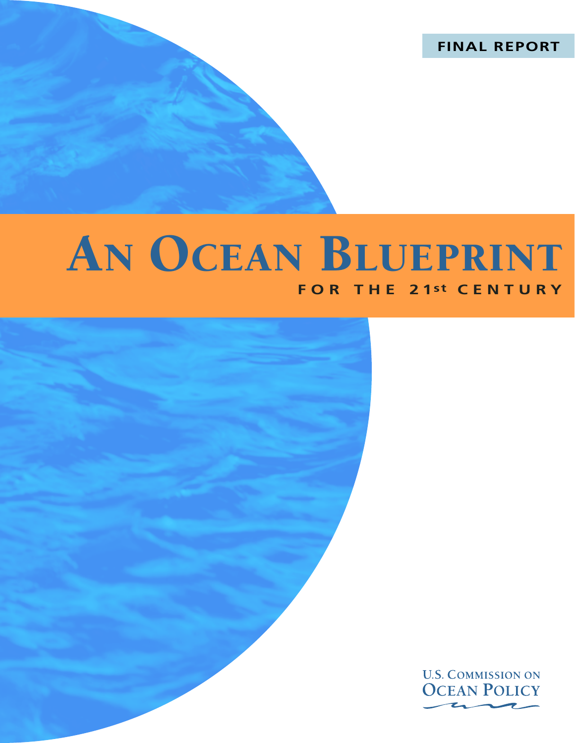**FINAL REPORT**

# AN OCEAN BLUEPRINT **FOR THE 21st CENTURY**



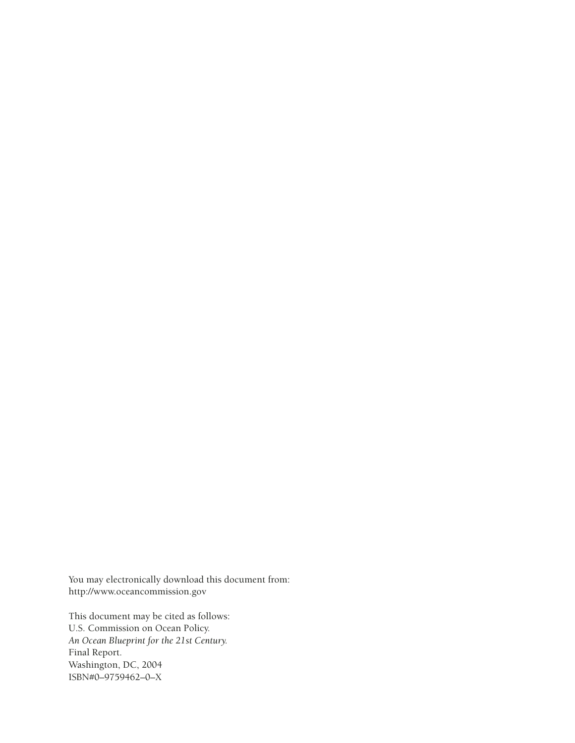You may electronically download this document from: http://www.oceancommission.gov

This document may be cited as follows: U.S. Commission on Ocean Policy. *An Ocean Blueprint for the 21st Century.*  Final Report. Washington, DC, 2004 ISBN#0–9759462–0–X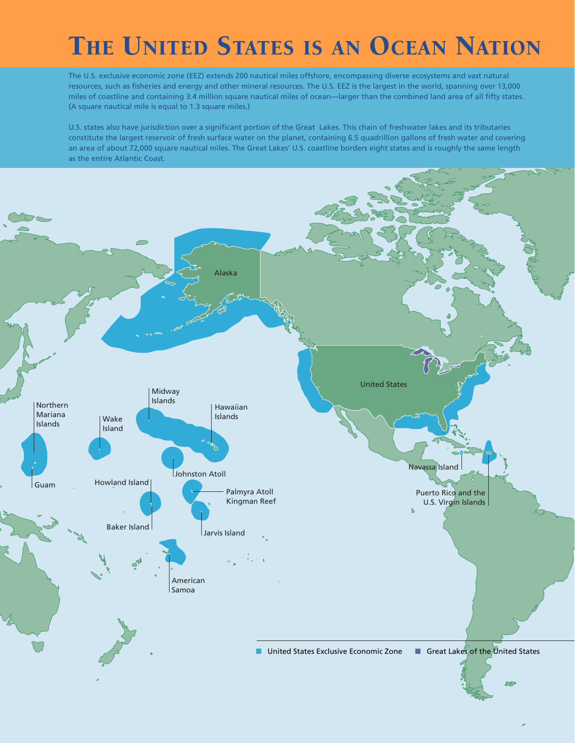# THE UNITED STATES IS AN OCEAN NATION

The U.S. exclusive economic zone (EEZ) extends 200 nautical miles offshore, encompassing diverse ecosystems and vast natural resources, such as fisheries and energy and other mineral resources. The U.S. EEZ is the largest in the world, spanning over 13,000 miles of coastline and containing 3.4 million square nautical miles of ocean—larger than the combined land area of all fifty states. (A square nautical mile is equal to 1.3 square miles.)

U.S. states also have jurisdiction over a significant portion of the Great Lakes. This chain of freshwater lakes and its tributaries constitute the largest reservoir of fresh surface water on the planet, containing 6.5 quadrillion gallons of fresh water and covering an area of about 72,000 square nautical miles. The Great Lakes' U.S. coastline borders eight states and is roughly the same length as the entire Atlantic Coast.

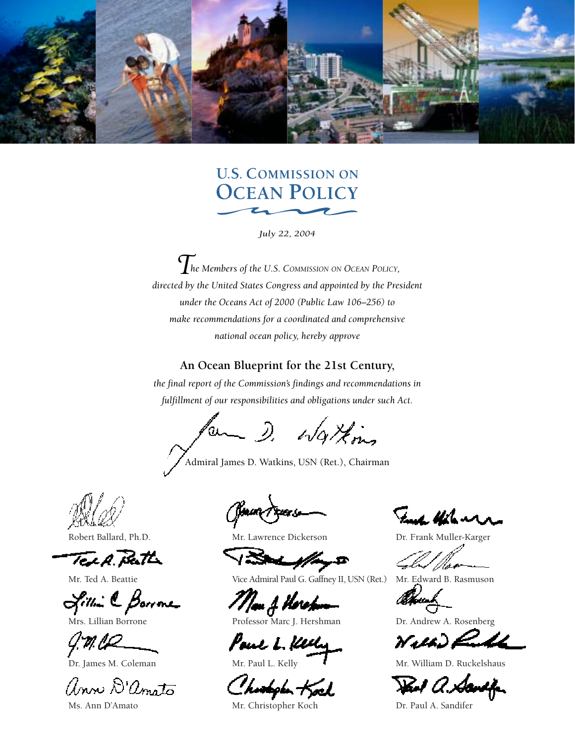

# **U.S. COMMISSION ON OCEAN POLICY**

*July 22, 2004*

*The Members of the U.S. COMMISSION ON OCEAN POLICY, directed by the United States Congress and appointed by the President under the Oceans Act of 2000 (Public Law 106–256) to make recommendations for a coordinated and comprehensive national ocean policy, hereby approve*

#### **An Ocean Blueprint for the 21st Century,**

*the final report of the Commission's findings and recommendations in fulfillment of our responsibilities and obligations under such Act.*

for D. Watkins

Admiral James D. Watkins, USN (Ret.), Chairman

Robert Ballard, Ph.D.

TELA. Peath

Mr. Ted A. Beattie

Sillin C Borrone

Mrs. Lillian Borrone

 $\mathcal{G}$ . **M. L.** Coleman Dr. James M. Coleman

anne D'anoto

Ms. Ann D'Amato

Jaun Prees

Mr. Lawrence Dickerson

d | pag-D

Vice Admiral Paul G. Gaffney II, USN (Ret.)

Mau A Horothum

Paul L. Kelly

Charlyh Kock

Mr. Christopher Koch

Fuch Halenn

Dr. Frank Muller-Karger

Mr. Edward B. Rasmuson

Dr. Andrew A. Rosenberg

Wilh) Ruff

Mr. William D. Ruckelshaus

Paul a. Sandifer

Dr. Paul A. Sandifer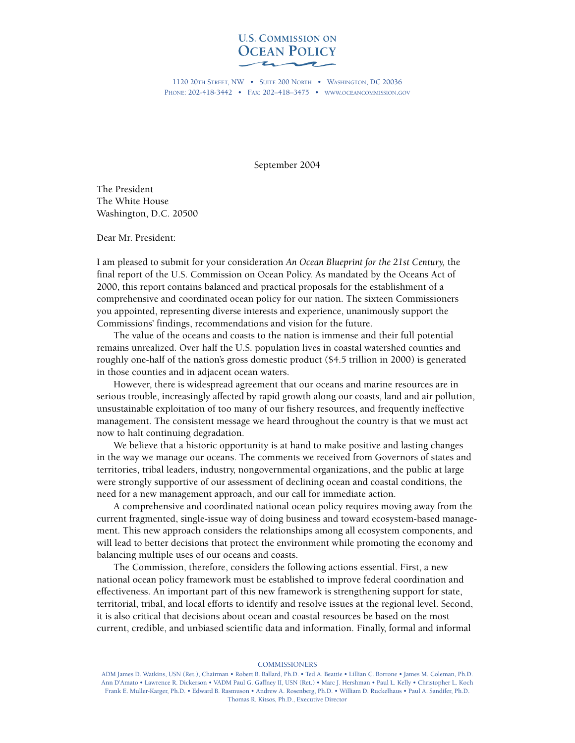

1120 20TH STREET, NW • SUITE 200 NORTH • WASHINGTON, DC 20036 PHONE: 202-418-3442 • FAX: 202–418–3475 • WWW.OCEANCOMMISSION.GOV

September 2004

The President The White House Washington, D.C. 20500

Dear Mr. President:

I am pleased to submit for your consideration *An Ocean Blueprint for the 21st Century,* the final report of the U.S. Commission on Ocean Policy. As mandated by the Oceans Act of 2000, this report contains balanced and practical proposals for the establishment of a comprehensive and coordinated ocean policy for our nation. The sixteen Commissioners you appointed, representing diverse interests and experience, unanimously support the Commissions' findings, recommendations and vision for the future.

The value of the oceans and coasts to the nation is immense and their full potential remains unrealized. Over half the U.S. population lives in coastal watershed counties and roughly one-half of the nation's gross domestic product (\$4.5 trillion in 2000) is generated in those counties and in adjacent ocean waters.

However, there is widespread agreement that our oceans and marine resources are in serious trouble, increasingly affected by rapid growth along our coasts, land and air pollution, unsustainable exploitation of too many of our fishery resources, and frequently ineffective management. The consistent message we heard throughout the country is that we must act now to halt continuing degradation.

We believe that a historic opportunity is at hand to make positive and lasting changes in the way we manage our oceans. The comments we received from Governors of states and territories, tribal leaders, industry, nongovernmental organizations, and the public at large were strongly supportive of our assessment of declining ocean and coastal conditions, the need for a new management approach, and our call for immediate action.

A comprehensive and coordinated national ocean policy requires moving away from the current fragmented, single-issue way of doing business and toward ecosystem-based management. This new approach considers the relationships among all ecosystem components, and will lead to better decisions that protect the environment while promoting the economy and balancing multiple uses of our oceans and coasts.

The Commission, therefore, considers the following actions essential. First, a new national ocean policy framework must be established to improve federal coordination and effectiveness. An important part of this new framework is strengthening support for state, territorial, tribal, and local efforts to identify and resolve issues at the regional level. Second, it is also critical that decisions about ocean and coastal resources be based on the most current, credible, and unbiased scientific data and information. Finally, formal and informal

**COMMISSIONERS** 

ADM James D. Watkins, USN (Ret.), Chairman • Robert B. Ballard, Ph.D. • Ted A. Beattie • Lillian C. Borrone • James M. Coleman, Ph.D. Ann D'Amato • Lawrence R. Dickerson • VADM Paul G. Gaffney II, USN (Ret.) • Marc J. Hershman • Paul L. Kelly • Christopher L. Koch Frank E. Muller-Karger, Ph.D. • Edward B. Rasmuson • Andrew A. Rosenberg, Ph.D. • William D. Ruckelhaus • Paul A. Sandifer, Ph.D. Thomas R. Kitsos, Ph.D., Executive Director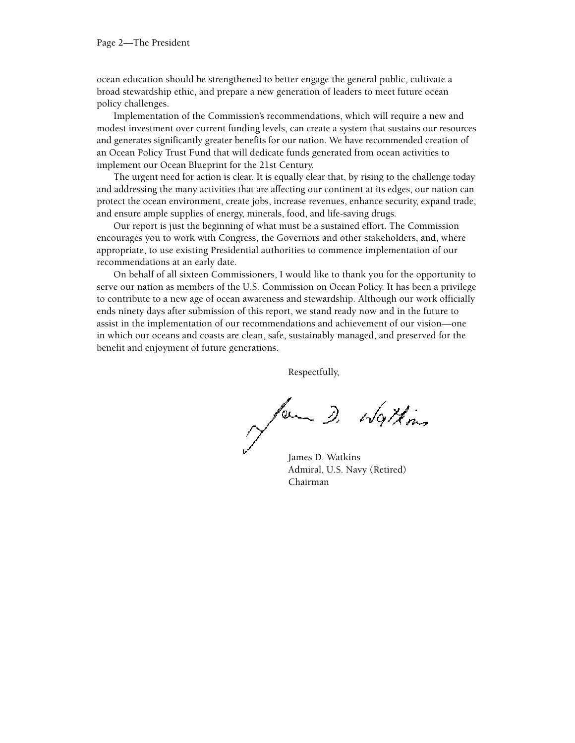ocean education should be strengthened to better engage the general public, cultivate a broad stewardship ethic, and prepare a new generation of leaders to meet future ocean policy challenges.

Implementation of the Commission's recommendations, which will require a new and modest investment over current funding levels, can create a system that sustains our resources and generates significantly greater benefits for our nation. We have recommended creation of an Ocean Policy Trust Fund that will dedicate funds generated from ocean activities to implement our Ocean Blueprint for the 21st Century.

The urgent need for action is clear. It is equally clear that, by rising to the challenge today and addressing the many activities that are affecting our continent at its edges, our nation can protect the ocean environment, create jobs, increase revenues, enhance security, expand trade, and ensure ample supplies of energy, minerals, food, and life-saving drugs.

Our report is just the beginning of what must be a sustained effort. The Commission encourages you to work with Congress, the Governors and other stakeholders, and, where appropriate, to use existing Presidential authorities to commence implementation of our recommendations at an early date.

On behalf of all sixteen Commissioners, I would like to thank you for the opportunity to serve our nation as members of the U.S. Commission on Ocean Policy. It has been a privilege to contribute to a new age of ocean awareness and stewardship. Although our work officially ends ninety days after submission of this report, we stand ready now and in the future to assist in the implementation of our recommendations and achievement of our vision—one in which our oceans and coasts are clean, safe, sustainably managed, and preserved for the benefit and enjoyment of future generations.

Respectfully,

for D. Watkins

James D. Watkins Admiral, U.S. Navy (Retired) Chairman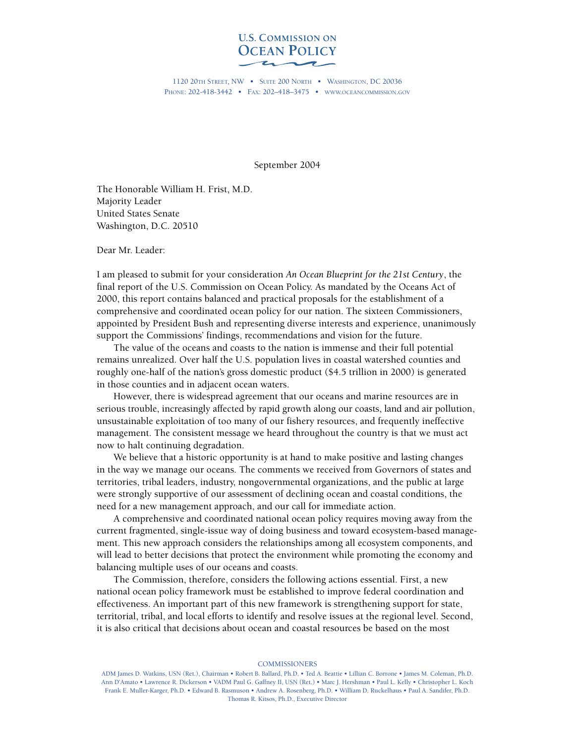

1120 20TH STREET, NW • SUITE 200 NORTH • WASHINGTON, DC 20036 PHONE: 202-418-3442 • FAX: 202–418–3475 • WWW.OCEANCOMMISSION.GOV

September 2004

The Honorable William H. Frist, M.D. Majority Leader United States Senate Washington, D.C. 20510

Dear Mr. Leader:

I am pleased to submit for your consideration *An Ocean Blueprint for the 21st Century*, the final report of the U.S. Commission on Ocean Policy. As mandated by the Oceans Act of 2000, this report contains balanced and practical proposals for the establishment of a comprehensive and coordinated ocean policy for our nation. The sixteen Commissioners, appointed by President Bush and representing diverse interests and experience, unanimously support the Commissions' findings, recommendations and vision for the future.

The value of the oceans and coasts to the nation is immense and their full potential remains unrealized. Over half the U.S. population lives in coastal watershed counties and roughly one-half of the nation's gross domestic product (\$4.5 trillion in 2000) is generated in those counties and in adjacent ocean waters.

However, there is widespread agreement that our oceans and marine resources are in serious trouble, increasingly affected by rapid growth along our coasts, land and air pollution, unsustainable exploitation of too many of our fishery resources, and frequently ineffective management. The consistent message we heard throughout the country is that we must act now to halt continuing degradation.

We believe that a historic opportunity is at hand to make positive and lasting changes in the way we manage our oceans. The comments we received from Governors of states and territories, tribal leaders, industry, nongovernmental organizations, and the public at large were strongly supportive of our assessment of declining ocean and coastal conditions, the need for a new management approach, and our call for immediate action.

A comprehensive and coordinated national ocean policy requires moving away from the current fragmented, single-issue way of doing business and toward ecosystem-based management. This new approach considers the relationships among all ecosystem components, and will lead to better decisions that protect the environment while promoting the economy and balancing multiple uses of our oceans and coasts.

The Commission, therefore, considers the following actions essential. First, a new national ocean policy framework must be established to improve federal coordination and effectiveness. An important part of this new framework is strengthening support for state, territorial, tribal, and local efforts to identify and resolve issues at the regional level. Second, it is also critical that decisions about ocean and coastal resources be based on the most

**COMMISSIONERS** 

ADM James D. Watkins, USN (Ret.), Chairman • Robert B. Ballard, Ph.D. • Ted A. Beattie • Lillian C. Borrone • James M. Coleman, Ph.D. Ann D'Amato • Lawrence R. Dickerson • VADM Paul G. Gaffney II, USN (Ret.) • Marc J. Hershman • Paul L. Kelly • Christopher L. Koch Frank E. Muller-Karger, Ph.D. • Edward B. Rasmuson • Andrew A. Rosenberg, Ph.D. • William D. Ruckelhaus • Paul A. Sandifer, Ph.D. Thomas R. Kitsos, Ph.D., Executive Director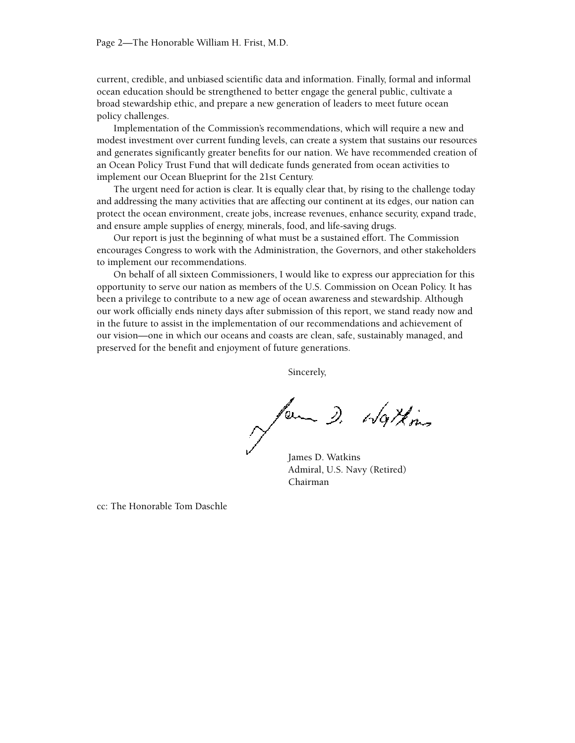current, credible, and unbiased scientific data and information. Finally, formal and informal ocean education should be strengthened to better engage the general public, cultivate a broad stewardship ethic, and prepare a new generation of leaders to meet future ocean policy challenges.

Implementation of the Commission's recommendations, which will require a new and modest investment over current funding levels, can create a system that sustains our resources and generates significantly greater benefits for our nation. We have recommended creation of an Ocean Policy Trust Fund that will dedicate funds generated from ocean activities to implement our Ocean Blueprint for the 21st Century.

The urgent need for action is clear. It is equally clear that, by rising to the challenge today and addressing the many activities that are affecting our continent at its edges, our nation can protect the ocean environment, create jobs, increase revenues, enhance security, expand trade, and ensure ample supplies of energy, minerals, food, and life-saving drugs.

Our report is just the beginning of what must be a sustained effort. The Commission encourages Congress to work with the Administration, the Governors, and other stakeholders to implement our recommendations.

On behalf of all sixteen Commissioners, I would like to express our appreciation for this opportunity to serve our nation as members of the U.S. Commission on Ocean Policy. It has been a privilege to contribute to a new age of ocean awareness and stewardship. Although our work officially ends ninety days after submission of this report, we stand ready now and in the future to assist in the implementation of our recommendations and achievement of our vision—one in which our oceans and coasts are clean, safe, sustainably managed, and preserved for the benefit and enjoyment of future generations.

Sincerely,

for D. Watkins

James D. Watkins Admiral, U.S. Navy (Retired) Chairman

cc: The Honorable Tom Daschle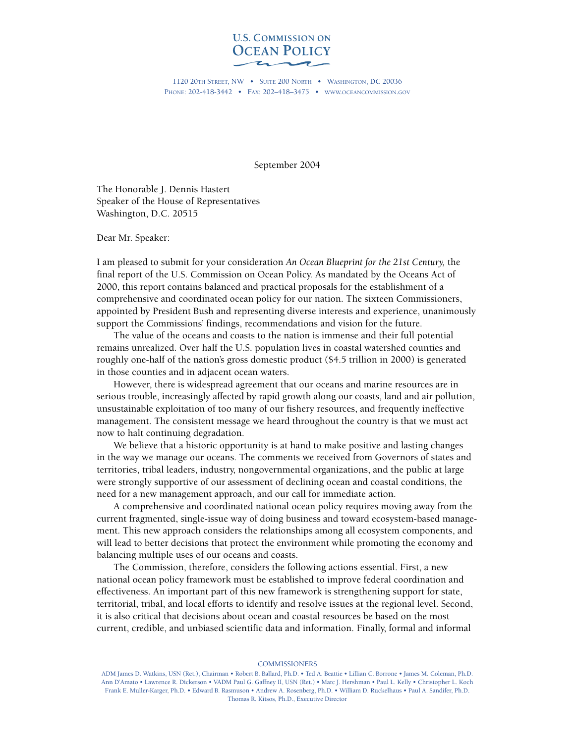

1120 20TH STREET, NW • SUITE 200 NORTH • WASHINGTON, DC 20036 PHONE: 202-418-3442 • FAX: 202–418–3475 • WWW.OCEANCOMMISSION.GOV

September 2004

The Honorable J. Dennis Hastert Speaker of the House of Representatives Washington, D.C. 20515

Dear Mr. Speaker:

I am pleased to submit for your consideration *An Ocean Blueprint for the 21st Century,* the final report of the U.S. Commission on Ocean Policy. As mandated by the Oceans Act of 2000, this report contains balanced and practical proposals for the establishment of a comprehensive and coordinated ocean policy for our nation. The sixteen Commissioners, appointed by President Bush and representing diverse interests and experience, unanimously support the Commissions' findings, recommendations and vision for the future.

The value of the oceans and coasts to the nation is immense and their full potential remains unrealized. Over half the U.S. population lives in coastal watershed counties and roughly one-half of the nation's gross domestic product (\$4.5 trillion in 2000) is generated in those counties and in adjacent ocean waters.

However, there is widespread agreement that our oceans and marine resources are in serious trouble, increasingly affected by rapid growth along our coasts, land and air pollution, unsustainable exploitation of too many of our fishery resources, and frequently ineffective management. The consistent message we heard throughout the country is that we must act now to halt continuing degradation.

We believe that a historic opportunity is at hand to make positive and lasting changes in the way we manage our oceans. The comments we received from Governors of states and territories, tribal leaders, industry, nongovernmental organizations, and the public at large were strongly supportive of our assessment of declining ocean and coastal conditions, the need for a new management approach, and our call for immediate action.

A comprehensive and coordinated national ocean policy requires moving away from the current fragmented, single-issue way of doing business and toward ecosystem-based management. This new approach considers the relationships among all ecosystem components, and will lead to better decisions that protect the environment while promoting the economy and balancing multiple uses of our oceans and coasts.

The Commission, therefore, considers the following actions essential. First, a new national ocean policy framework must be established to improve federal coordination and effectiveness. An important part of this new framework is strengthening support for state, territorial, tribal, and local efforts to identify and resolve issues at the regional level. Second, it is also critical that decisions about ocean and coastal resources be based on the most current, credible, and unbiased scientific data and information. Finally, formal and informal

#### **COMMISSIONERS**

ADM James D. Watkins, USN (Ret.), Chairman • Robert B. Ballard, Ph.D. • Ted A. Beattie • Lillian C. Borrone • James M. Coleman, Ph.D. Ann D'Amato • Lawrence R. Dickerson • VADM Paul G. Gaffney II, USN (Ret.) • Marc J. Hershman • Paul L. Kelly • Christopher L. Koch Frank E. Muller-Karger, Ph.D. • Edward B. Rasmuson • Andrew A. Rosenberg, Ph.D. • William D. Ruckelhaus • Paul A. Sandifer, Ph.D. Thomas R. Kitsos, Ph.D., Executive Director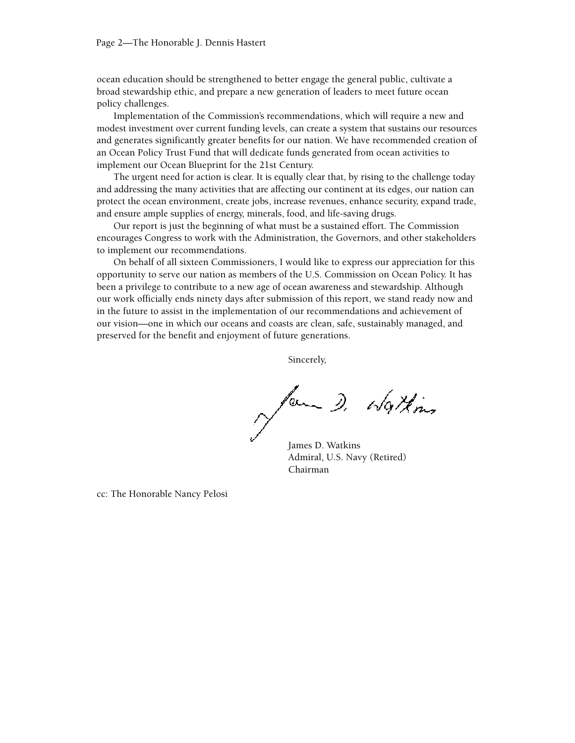ocean education should be strengthened to better engage the general public, cultivate a broad stewardship ethic, and prepare a new generation of leaders to meet future ocean policy challenges.

Implementation of the Commission's recommendations, which will require a new and modest investment over current funding levels, can create a system that sustains our resources and generates significantly greater benefits for our nation. We have recommended creation of an Ocean Policy Trust Fund that will dedicate funds generated from ocean activities to implement our Ocean Blueprint for the 21st Century.

The urgent need for action is clear. It is equally clear that, by rising to the challenge today and addressing the many activities that are affecting our continent at its edges, our nation can protect the ocean environment, create jobs, increase revenues, enhance security, expand trade, and ensure ample supplies of energy, minerals, food, and life-saving drugs.

Our report is just the beginning of what must be a sustained effort. The Commission encourages Congress to work with the Administration, the Governors, and other stakeholders to implement our recommendations.

On behalf of all sixteen Commissioners, I would like to express our appreciation for this opportunity to serve our nation as members of the U.S. Commission on Ocean Policy. It has been a privilege to contribute to a new age of ocean awareness and stewardship. Although our work officially ends ninety days after submission of this report, we stand ready now and in the future to assist in the implementation of our recommendations and achievement of our vision—one in which our oceans and coasts are clean, safe, sustainably managed, and preserved for the benefit and enjoyment of future generations.

Sincerely,

form D. Watkins

James D. Watkins Admiral, U.S. Navy (Retired) Chairman

cc: The Honorable Nancy Pelosi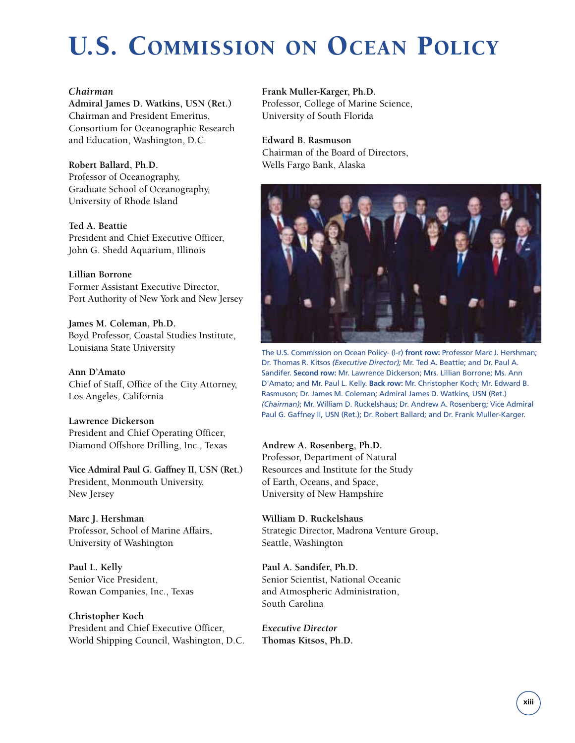# U.S. COMMISSION ON OCEAN POLICY

#### *Chairman*

**Admiral James D. Watkins, USN (Ret.)**  Chairman and President Emeritus, Consortium for Oceanographic Research and Education, Washington, D.C.

#### **Robert Ballard, Ph.D.**

Professor of Oceanography, Graduate School of Oceanography, University of Rhode Island

#### **Ted A. Beattie**

President and Chief Executive Officer, John G. Shedd Aquarium, Illinois

#### **Lillian Borrone**

Former Assistant Executive Director, Port Authority of New York and New Jersey

**James M. Coleman, Ph.D.** Boyd Professor, Coastal Studies Institute, Louisiana State University

**Ann D'Amato** Chief of Staff, Office of the City Attorney, Los Angeles, California

**Lawrence Dickerson** President and Chief Operating Officer, Diamond Offshore Drilling, Inc., Texas

**Vice Admiral Paul G. Gaffney II, USN (Ret.)** President, Monmouth University, New Jersey

## **Marc J. Hershman**

Professor, School of Marine Affairs, University of Washington

**Paul L. Kelly** Senior Vice President, Rowan Companies, Inc., Texas

**Christopher Koch** President and Chief Executive Officer, World Shipping Council, Washington, D.C. **Frank Muller-Karger, Ph.D.** Professor, College of Marine Science, University of South Florida

**Edward B. Rasmuson** Chairman of the Board of Directors, Wells Fargo Bank, Alaska



The U.S. Commission on Ocean Policy- (l-r) **front row:** Professor Marc J. Hershman; Dr. Thomas R. Kitsos *(Executive Director);* Mr. Ted A. Beattie; and Dr. Paul A. Sandifer. **Second row:** Mr. Lawrence Dickerson; Mrs. Lillian Borrone; Ms. Ann D'Amato; and Mr. Paul L. Kelly. **Back row:** Mr. Christopher Koch; Mr. Edward B. Rasmuson; Dr. James M. Coleman; Admiral James D. Watkins, USN (Ret.) *(Chairman)*; Mr. William D. Ruckelshaus; Dr. Andrew A. Rosenberg; Vice Admiral Paul G. Gaffney II, USN (Ret.); Dr. Robert Ballard; and Dr. Frank Muller-Karger.

#### **Andrew A. Rosenberg, Ph.D.**

Professor, Department of Natural Resources and Institute for the Study of Earth, Oceans, and Space, University of New Hampshire

#### **William D. Ruckelshaus** Strategic Director, Madrona Venture Group, Seattle, Washington

**Paul A. Sandifer, Ph.D.** Senior Scientist, National Oceanic and Atmospheric Administration, South Carolina

*Executive Director* **Thomas Kitsos, Ph.D.**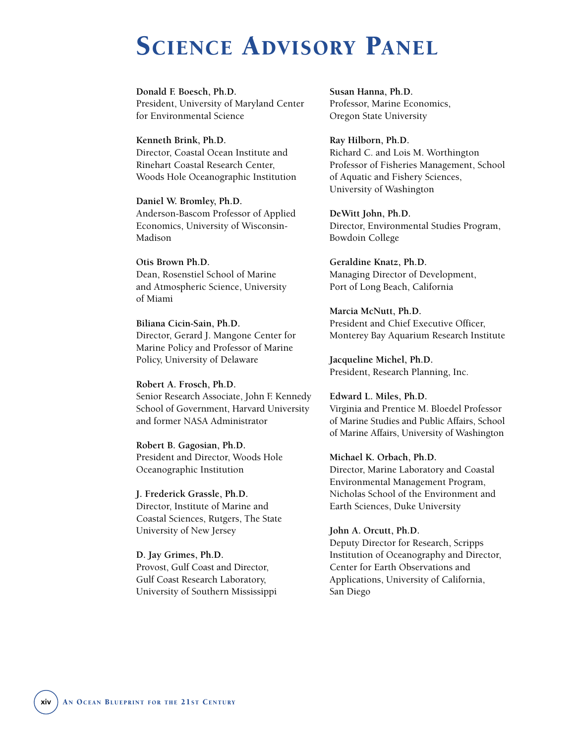# SCIENCE ADVISORY PANEL

**Donald F. Boesch, Ph.D.**  President, University of Maryland Center for Environmental Science

**Kenneth Brink, Ph.D.**  Director, Coastal Ocean Institute and Rinehart Coastal Research Center, Woods Hole Oceanographic Institution

**Daniel W. Bromley, Ph.D.**  Anderson-Bascom Professor of Applied Economics, University of Wisconsin-Madison

#### **Otis Brown Ph.D.** Dean, Rosenstiel School of Marine

and Atmospheric Science, University of Miami

**Biliana Cicin-Sain, Ph.D.** Director, Gerard J. Mangone Center for Marine Policy and Professor of Marine Policy, University of Delaware

**Robert A. Frosch, Ph.D.** Senior Research Associate, John F. Kennedy School of Government, Harvard University and former NASA Administrator

**Robert B. Gagosian, Ph.D.** President and Director, Woods Hole Oceanographic Institution

**J. Frederick Grassle, Ph.D.** Director, Institute of Marine and Coastal Sciences, Rutgers, The State University of New Jersey

**D. Jay Grimes, Ph.D.** Provost, Gulf Coast and Director, Gulf Coast Research Laboratory, University of Southern Mississippi **Susan Hanna, Ph.D.** Professor, Marine Economics, Oregon State University

**Ray Hilborn, Ph.D.** Richard C. and Lois M. Worthington Professor of Fisheries Management, School of Aquatic and Fishery Sciences, University of Washington

**DeWitt John, Ph.D.** Director, Environmental Studies Program, Bowdoin College

**Geraldine Knatz, Ph.D.** Managing Director of Development, Port of Long Beach, California

**Marcia McNutt, Ph.D.** President and Chief Executive Officer, Monterey Bay Aquarium Research Institute

**Jacqueline Michel, Ph.D.** President, Research Planning, Inc.

**Edward L. Miles, Ph.D.** Virginia and Prentice M. Bloedel Professor of Marine Studies and Public Affairs, School of Marine Affairs, University of Washington

**Michael K. Orbach, Ph.D.** Director, Marine Laboratory and Coastal Environmental Management Program, Nicholas School of the Environment and Earth Sciences, Duke University

**John A. Orcutt, Ph.D.** Deputy Director for Research, Scripps Institution of Oceanography and Director, Center for Earth Observations and Applications, University of California, San Diego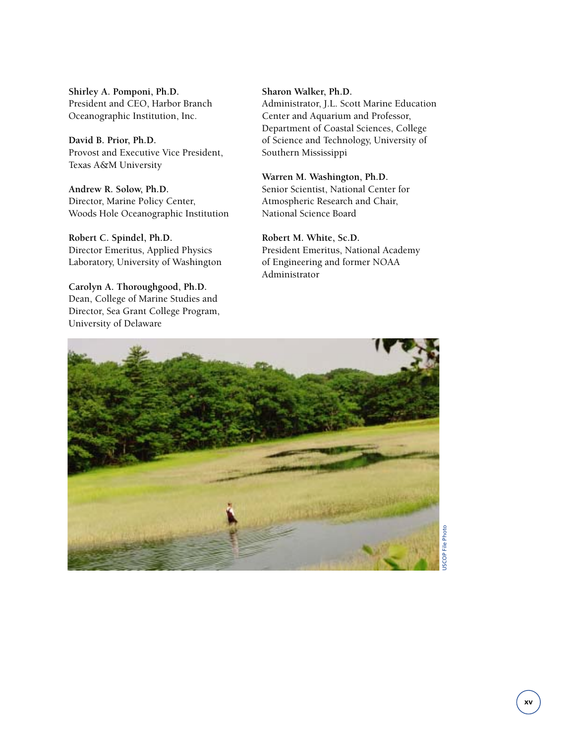**Shirley A. Pomponi, Ph.D.** President and CEO, Harbor Branch Oceanographic Institution, Inc.

**David B. Prior, Ph.D.** Provost and Executive Vice President, Texas A&M University

**Andrew R. Solow, Ph.D.** Director, Marine Policy Center, Woods Hole Oceanographic Institution

**Robert C. Spindel, Ph.D.** Director Emeritus, Applied Physics Laboratory, University of Washington

**Carolyn A. Thoroughgood, Ph.D.** Dean, College of Marine Studies and Director, Sea Grant College Program, University of Delaware

**Sharon Walker, Ph.D.** Administrator, J.L. Scott Marine Education Center and Aquarium and Professor, Department of Coastal Sciences, College of Science and Technology, University of Southern Mississippi

**Warren M. Washington, Ph.D.** Senior Scientist, National Center for Atmospheric Research and Chair, National Science Board

**Robert M. White, Sc.D.** President Emeritus, National Academy of Engineering and former NOAA Administrator



**ISCOP File Photo** USCOP File Photo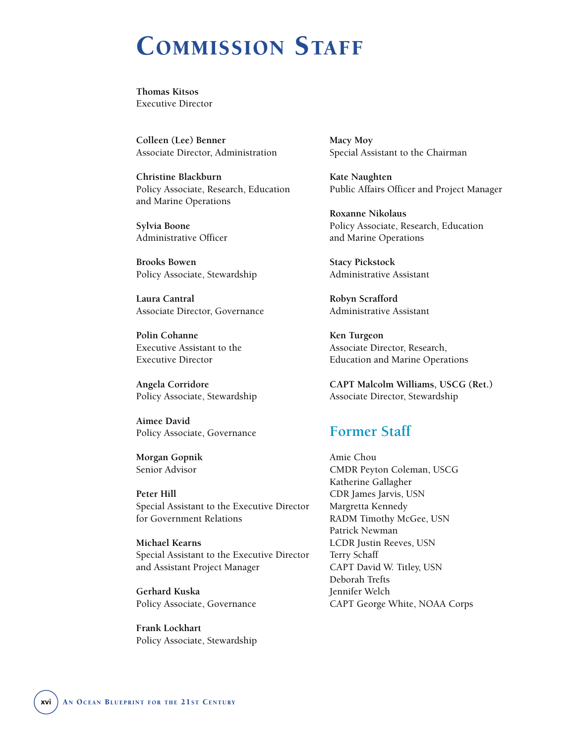# COMMISSION STAFF

**Thomas Kitsos** Executive Director

**Colleen (Lee) Benner** Associate Director, Administration

**Christine Blackburn** Policy Associate, Research, Education and Marine Operations

**Sylvia Boone** Administrative Officer

**Brooks Bowen** Policy Associate, Stewardship

**Laura Cantral** Associate Director, Governance

**Polin Cohanne** Executive Assistant to the Executive Director

**Angela Corridore** Policy Associate, Stewardship

**Aimee David** Policy Associate, Governance

**Morgan Gopnik** Senior Advisor

**Peter Hill** Special Assistant to the Executive Director for Government Relations

**Michael Kearns** Special Assistant to the Executive Director and Assistant Project Manager

**Gerhard Kuska** Policy Associate, Governance

**Frank Lockhart** Policy Associate, Stewardship **Macy Moy** Special Assistant to the Chairman

**Kate Naughten** Public Affairs Officer and Project Manager

**Roxanne Nikolaus** Policy Associate, Research, Education and Marine Operations

**Stacy Pickstock** Administrative Assistant

**Robyn Scrafford** Administrative Assistant

**Ken Turgeon** Associate Director, Research, Education and Marine Operations

**CAPT Malcolm Williams, USCG (Ret.)** Associate Director, Stewardship

### **Former Staff**

Amie Chou CMDR Peyton Coleman, USCG Katherine Gallagher CDR James Jarvis, USN Margretta Kennedy RADM Timothy McGee, USN Patrick Newman LCDR Justin Reeves, USN Terry Schaff CAPT David W. Titley, USN Deborah Trefts Jennifer Welch CAPT George White, NOAA Corps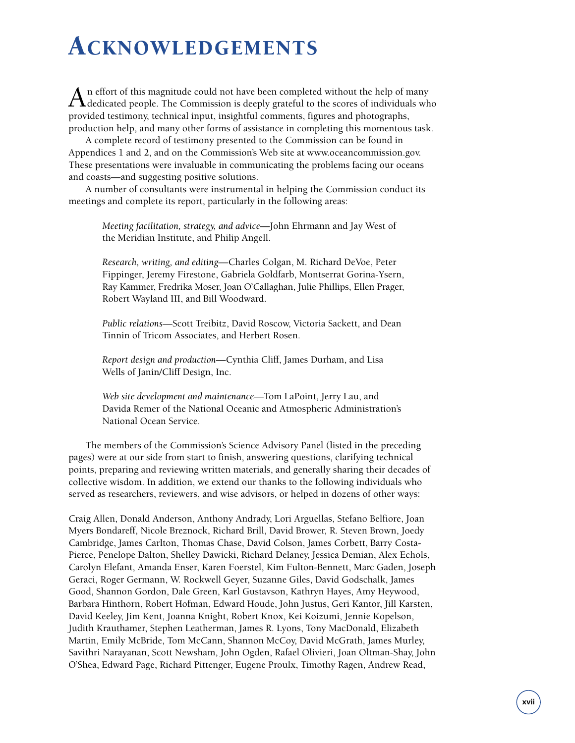# ACKNOWLEDGEMENTS

An effort of this magnitude could not have been completed without the help of many<br>dedicated people. The Commission is deeply grateful to the scores of individuals who provided testimony, technical input, insightful comments, figures and photographs, production help, and many other forms of assistance in completing this momentous task.

A complete record of testimony presented to the Commission can be found in Appendices 1 and 2, and on the Commission's Web site at www.oceancommission.gov. These presentations were invaluable in communicating the problems facing our oceans and coasts—and suggesting positive solutions.

A number of consultants were instrumental in helping the Commission conduct its meetings and complete its report, particularly in the following areas:

*Meeting facilitation, strategy, and advice—*John Ehrmann and Jay West of the Meridian Institute, and Philip Angell.

*Research, writing, and editing—*Charles Colgan, M. Richard DeVoe, Peter Fippinger, Jeremy Firestone, Gabriela Goldfarb, Montserrat Gorina-Ysern, Ray Kammer, Fredrika Moser, Joan O'Callaghan, Julie Phillips, Ellen Prager, Robert Wayland III, and Bill Woodward.

*Public relations—*Scott Treibitz, David Roscow, Victoria Sackett, and Dean Tinnin of Tricom Associates, and Herbert Rosen.

*Report design and production—*Cynthia Cliff, James Durham, and Lisa Wells of Janin/Cliff Design, Inc.

*Web site development and maintenance—*Tom LaPoint, Jerry Lau, and Davida Remer of the National Oceanic and Atmospheric Administration's National Ocean Service.

The members of the Commission's Science Advisory Panel (listed in the preceding pages) were at our side from start to finish, answering questions, clarifying technical points, preparing and reviewing written materials, and generally sharing their decades of collective wisdom. In addition, we extend our thanks to the following individuals who served as researchers, reviewers, and wise advisors, or helped in dozens of other ways:

Craig Allen, Donald Anderson, Anthony Andrady, Lori Arguellas, Stefano Belfiore, Joan Myers Bondareff, Nicole Breznock, Richard Brill, David Brower, R. Steven Brown, Joedy Cambridge, James Carlton, Thomas Chase, David Colson, James Corbett, Barry Costa-Pierce, Penelope Dalton, Shelley Dawicki, Richard Delaney, Jessica Demian, Alex Echols, Carolyn Elefant, Amanda Enser, Karen Foerstel, Kim Fulton-Bennett, Marc Gaden, Joseph Geraci, Roger Germann, W. Rockwell Geyer, Suzanne Giles, David Godschalk, James Good, Shannon Gordon, Dale Green, Karl Gustavson, Kathryn Hayes, Amy Heywood, Barbara Hinthorn, Robert Hofman, Edward Houde, John Justus, Geri Kantor, Jill Karsten, David Keeley, Jim Kent, Joanna Knight, Robert Knox, Kei Koizumi, Jennie Kopelson, Judith Krauthamer, Stephen Leatherman, James R. Lyons, Tony MacDonald, Elizabeth Martin, Emily McBride, Tom McCann, Shannon McCoy, David McGrath, James Murley, Savithri Narayanan, Scott Newsham, John Ogden, Rafael Olivieri, Joan Oltman-Shay, John O'Shea, Edward Page, Richard Pittenger, Eugene Proulx, Timothy Ragen, Andrew Read,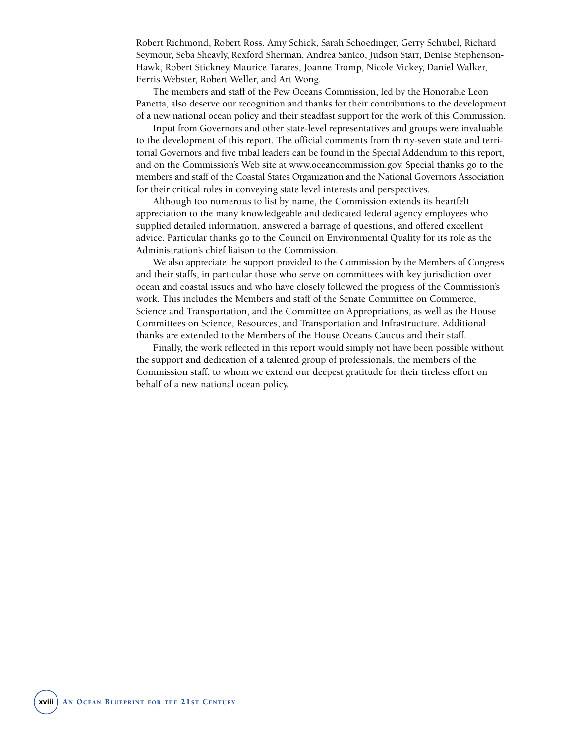Robert Richmond, Robert Ross, Amy Schick, Sarah Schoedinger, Gerry Schubel, Richard Seymour, Seba Sheavly, Rexford Sherman, Andrea Sanico, Judson Starr, Denise Stephenson-Hawk, Robert Stickney, Maurice Tarares, Joanne Tromp, Nicole Vickey, Daniel Walker, Ferris Webster, Robert Weller, and Art Wong.

The members and staff of the Pew Oceans Commission, led by the Honorable Leon Panetta, also deserve our recognition and thanks for their contributions to the development of a new national ocean policy and their steadfast support for the work of this Commission.

Input from Governors and other state-level representatives and groups were invaluable to the development of this report. The official comments from thirty-seven state and territorial Governors and five tribal leaders can be found in the Special Addendum to this report, and on the Commission's Web site at www.oceancommission.gov. Special thanks go to the members and staff of the Coastal States Organization and the National Governors Association for their critical roles in conveying state level interests and perspectives.

Although too numerous to list by name, the Commission extends its heartfelt appreciation to the many knowledgeable and dedicated federal agency employees who supplied detailed information, answered a barrage of questions, and offered excellent advice. Particular thanks go to the Council on Environmental Quality for its role as the Administration's chief liaison to the Commission.

We also appreciate the support provided to the Commission by the Members of Congress and their staffs, in particular those who serve on committees with key jurisdiction over ocean and coastal issues and who have closely followed the progress of the Commission's work. This includes the Members and staff of the Senate Committee on Commerce, Science and Transportation, and the Committee on Appropriations, as well as the House Committees on Science, Resources, and Transportation and Infrastructure. Additional thanks are extended to the Members of the House Oceans Caucus and their staff.

Finally, the work reflected in this report would simply not have been possible without the support and dedication of a talented group of professionals, the members of the Commission staff, to whom we extend our deepest gratitude for their tireless effort on behalf of a new national ocean policy.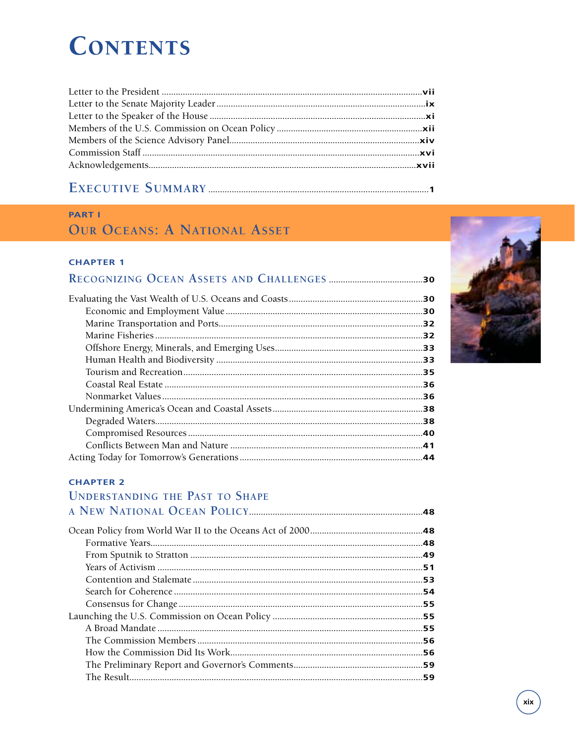# **CONTENTS**

#### **PART I**

## **OUR OCEANS: A NATIONAL ASSET**

#### **CHAPTER 1**

#### **CHAPTER 2**

### **UNDERSTANDING THE PAST TO SHAPE**

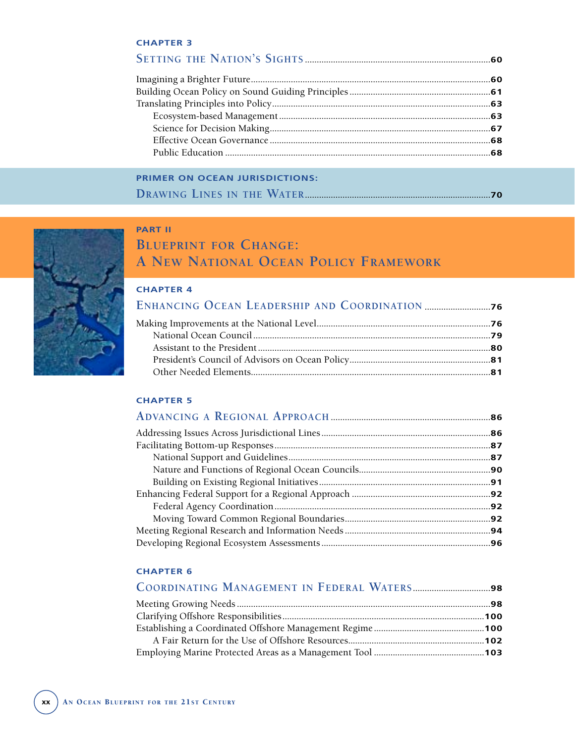### **PRIMER ON OCEAN JURISDICTIONS: DRAWING LINES IN THE WATER...............................................................................70**



### **PART II BLUEPRINT FOR CHANGE: A NEW NATIONAL OCEAN POLICY FRAMEWORK**

#### **CHAPTER 4**

#### **CHAPTER 5**

| .92 |
|-----|
|     |
|     |
|     |
|     |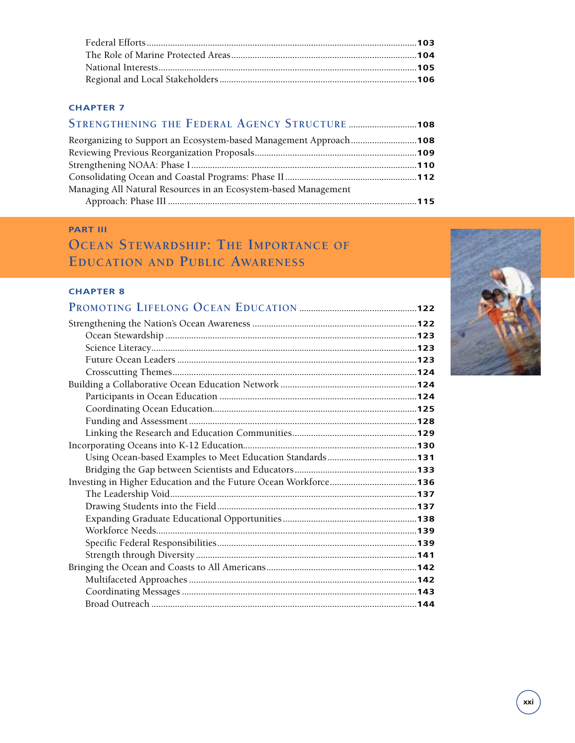| Reorganizing to Support an Ecosystem-based Management Approach108 |  |
|-------------------------------------------------------------------|--|
|                                                                   |  |
|                                                                   |  |
|                                                                   |  |
| Managing All Natural Resources in an Ecosystem-based Management   |  |
|                                                                   |  |
|                                                                   |  |

#### **PART III**

# **OCEAN STEWARDSHIP: THE IMPORTANCE OF EDUCATION AND PUBLIC AWARENESS**

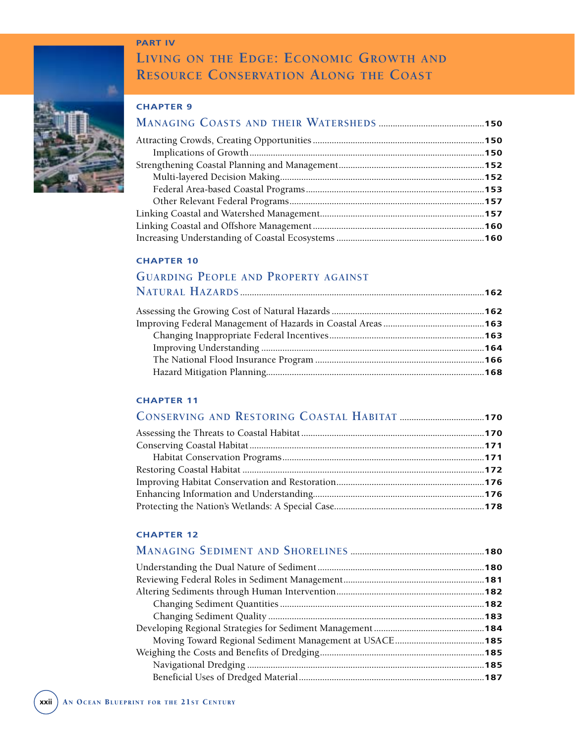#### **PART IV**



# **LIVING ON THE EDGE: ECONOMIC GROWTH AND RESOURCE CONSERVATION ALONG THE COAST**

#### **CHAPTER 9**

#### **CHAPTER 10**

#### **GUARDING PEOPLE AND PROPERTY AGAINST NATURAL HAZARDS ........................................................................................................162**

#### **CHAPTER 11**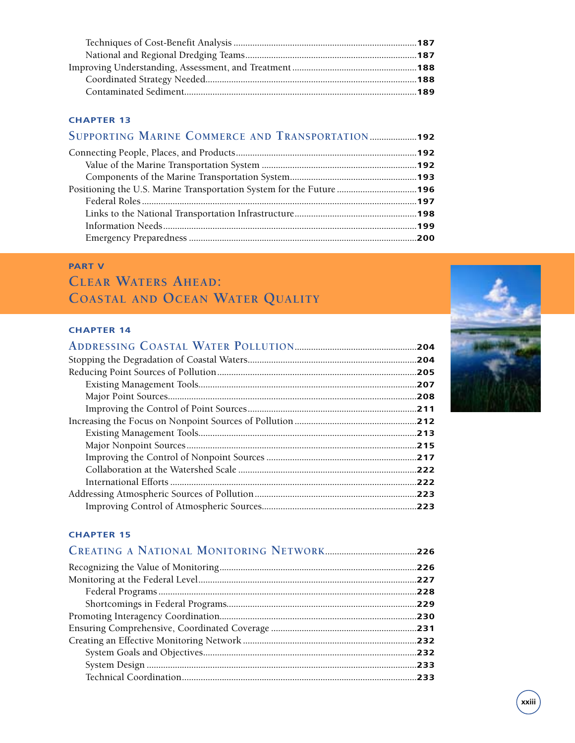| SUPPORTING MARINE COMMERCE AND TRANSPORTATION192                    |  |
|---------------------------------------------------------------------|--|
|                                                                     |  |
|                                                                     |  |
|                                                                     |  |
| Positioning the U.S. Marine Transportation System for the Future196 |  |
|                                                                     |  |
|                                                                     |  |
|                                                                     |  |
|                                                                     |  |
|                                                                     |  |

### **PART V**

# **CLEAR WATERS AHEAD: COASTAL AND OCEAN WATER QUALITY**

#### **CHAPTER 14**

| .204 |
|------|
|      |
|      |
| .207 |
|      |
|      |
|      |
|      |
|      |
| .217 |
|      |
|      |
|      |
|      |

| .227<br>.228<br>.230<br>.232<br>.233<br>.233 |  |
|----------------------------------------------|--|
|                                              |  |
|                                              |  |
|                                              |  |
|                                              |  |
|                                              |  |
|                                              |  |
|                                              |  |
|                                              |  |
|                                              |  |
|                                              |  |

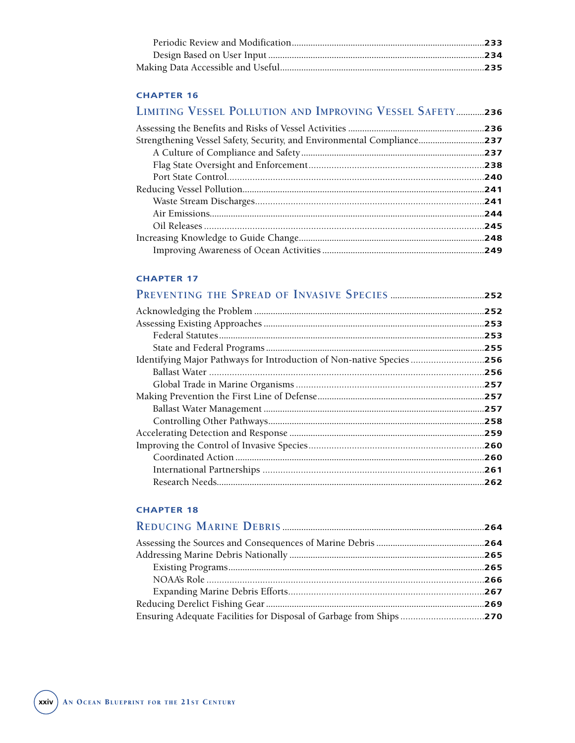| LIMITING VESSEL POLLUTION AND IMPROVING VESSEL SAFETY236 |      |
|----------------------------------------------------------|------|
|                                                          | .236 |
|                                                          |      |
|                                                          |      |
|                                                          |      |
|                                                          | .240 |
|                                                          | .241 |
|                                                          | .241 |
|                                                          | .244 |
|                                                          | .245 |
|                                                          | .248 |
|                                                          |      |

#### **CHAPTER 17**

| .252 |
|------|
|      |
| .253 |
|      |
|      |
| .256 |
|      |
| .257 |
|      |
|      |
|      |
|      |
|      |
|      |
|      |
|      |

| Ensuring Adequate Facilities for Disposal of Garbage from Ships270 |  |
|--------------------------------------------------------------------|--|
|                                                                    |  |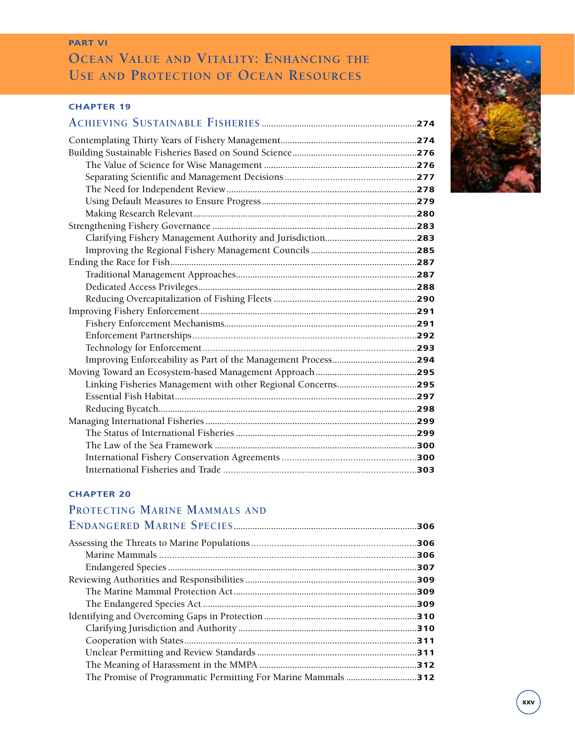### **PART VI OCEAN VALUE AND VITALITY: ENHANCING THE USE AND PROTECTION OF OCEAN RESOURCES**

#### **CHAPTER 19**

#### **CHAPTER 20**

#### **PROTECTING MARINE MAMMALS AND ENDANGERED MARINE SPECIES..............................................................................306**

| .307 |
|------|
|      |
| .309 |
|      |
| .310 |
|      |
|      |
|      |
|      |
|      |
|      |

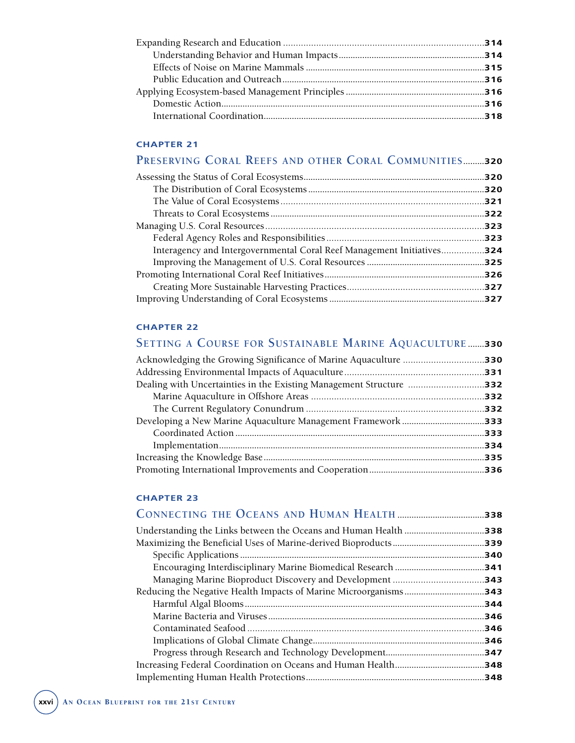### **PRESERVING CORAL REEFS AND OTHER CORAL COMMUNITIES.........320**

|                                                                        | .320 |
|------------------------------------------------------------------------|------|
|                                                                        |      |
|                                                                        |      |
|                                                                        | .322 |
|                                                                        |      |
|                                                                        |      |
| Interagency and Intergovernmental Coral Reef Management Initiatives324 |      |
|                                                                        |      |
|                                                                        |      |
|                                                                        |      |
|                                                                        |      |

#### **CHAPTER 22**

# **SETTING A COURSE FOR SUSTAINABLE MARINE AQUACULTURE .......330**

| Dealing with Uncertainties in the Existing Management Structure 332 |      |
|---------------------------------------------------------------------|------|
|                                                                     |      |
|                                                                     |      |
|                                                                     |      |
|                                                                     |      |
|                                                                     | .334 |
|                                                                     | .335 |
|                                                                     |      |
|                                                                     |      |

| <b>CHAPTER 23</b> |      |
|-------------------|------|
|                   |      |
|                   | .338 |
|                   |      |
|                   | 340  |
|                   | .341 |
|                   |      |
|                   | .343 |
|                   | .344 |
|                   | 346  |
|                   | 346  |
|                   | 346  |
|                   | .347 |
|                   |      |
|                   |      |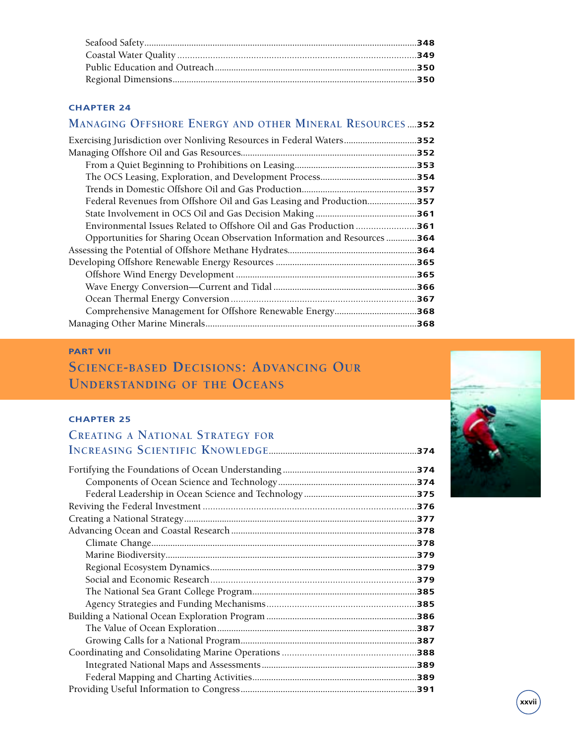#### **MANAGING OFFSHORE ENERGY AND OTHER MINERAL RESOURCES ....352**

|                                                                       | .357 |
|-----------------------------------------------------------------------|------|
| Federal Revenues from Offshore Oil and Gas Leasing and Production     | .357 |
|                                                                       | .361 |
|                                                                       | .361 |
| Opportunities for Sharing Ocean Observation Information and Resources | .364 |
|                                                                       | .364 |
|                                                                       |      |
|                                                                       |      |
|                                                                       | .366 |
|                                                                       |      |
|                                                                       | .368 |
|                                                                       |      |

#### **PART VII**

# **SCIENCE-BASED DECISIONS: ADVANCING OUR UNDERSTANDING OF THE OCEANS**

#### **CHAPTER 25**

#### **CREATING A NATIONAL STRATEGY FOR INCREASING SCIENTIFIC KNOWLEDGE...............................................................374** Fortifying the Foundations of Ocean Understanding **.........................................................374** Components of Ocean Science and Technology**...........................................................374** Federal Leadership in Ocean Science and Technology **................................................375** Reviving the Federal Investment ....................................................................................**376** Creating a National Strategy**...................................................................................................377** Advancing Ocean and Coastal Research **...............................................................................378** Climate Change**.................................................................................................................378** Marine Biodiversity**...........................................................................................................379** Regional Ecosystem Dynamics**........................................................................................379** Social and Economic Research.................................................................................**379** The National Sea Grant College Program**......................................................................385** Agency Strategies and Funding Mechanisms...........................................................**385** Building a National Ocean Exploration Program **................................................................386** The Value of Ocean Exploration**.....................................................................................387** Growing Calls for a National Program**...........................................................................387** Coordinating and Consolidating Marine Operations .....................................................**388** Integrated National Maps and Assessments**..................................................................389** Federal Mapping and Charting Activities**......................................................................389**

Providing Useful Information to Congress**...........................................................................391**

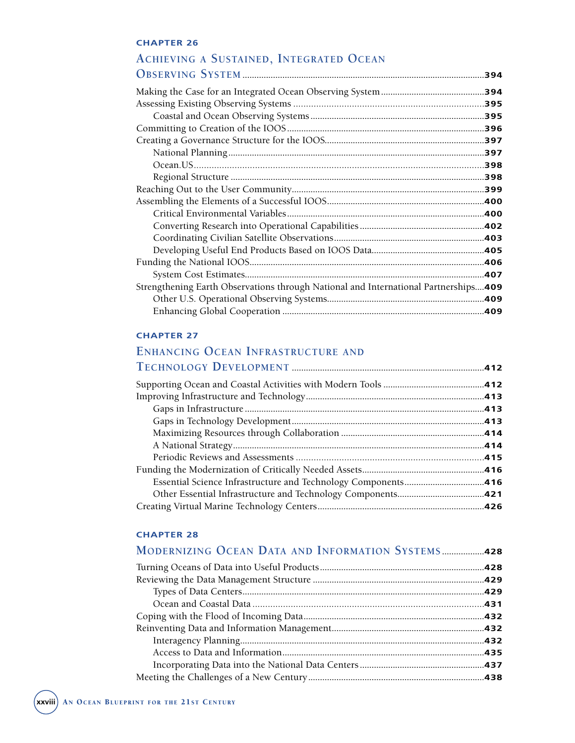# ACHIEVING A SUSTAINED, INTEGRATED OCEAN

| Strengthening Earth Observations through National and International Partnerships409 |  |
|-------------------------------------------------------------------------------------|--|
|                                                                                     |  |
|                                                                                     |  |
|                                                                                     |  |

#### **CHAPTER 27**

# **ENHANCING OCEAN INFRASTRUCTURE AND**

| <b>MODERNIZING OCEAN DATA AND INFORMATION SYSTEMS428</b> |  |
|----------------------------------------------------------|--|
|                                                          |  |
|                                                          |  |
|                                                          |  |
|                                                          |  |
|                                                          |  |
|                                                          |  |
|                                                          |  |
|                                                          |  |
|                                                          |  |
|                                                          |  |
|                                                          |  |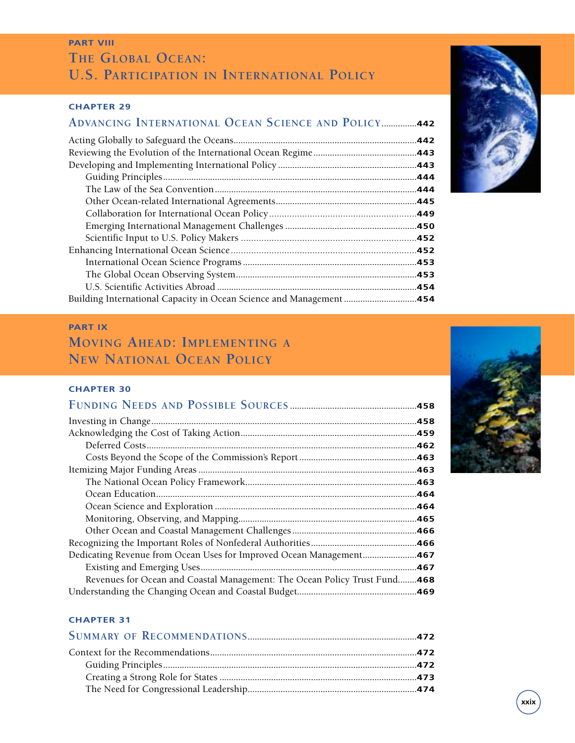### **PART VIII THE GLOBAL OCEAN: U.S. PARTICIPATION IN INTERNATIONAL POLICY**

#### **CHAPTER 29**

## **ADVANCING INTERNATIONAL OCEAN SCIENCE AND POLICY...............442**

| Building International Capacity in Ocean Science and Management 454 |  |
|---------------------------------------------------------------------|--|

#### **PART IX**

## **MOVING AHEAD: IMPLEMENTING A NEW NATIONAL OCEAN POLICY**

#### **CHAPTER 30**

|                                                                        | .462 |
|------------------------------------------------------------------------|------|
|                                                                        |      |
|                                                                        |      |
|                                                                        | .463 |
|                                                                        | .464 |
|                                                                        |      |
|                                                                        |      |
|                                                                        |      |
|                                                                        |      |
| Dedicating Revenue from Ocean Uses for Improved Ocean Management467    |      |
|                                                                        |      |
| Revenues for Ocean and Coastal Management: The Ocean Policy Trust Fund | .468 |
|                                                                        |      |



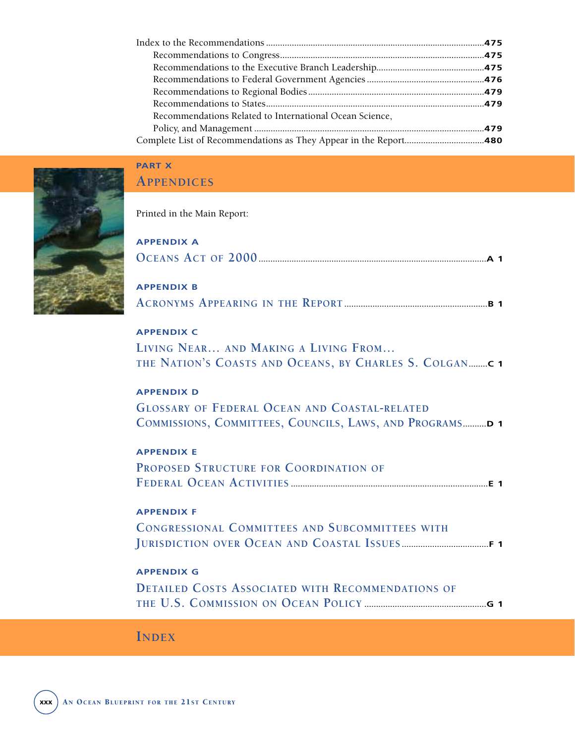| Recommendations Related to International Ocean Science, |  |
|---------------------------------------------------------|--|
|                                                         |  |
|                                                         |  |
|                                                         |  |



## **PART X APPENDICES**

Printed in the Main Report:

| <b>APPENDIX A</b>                                                                                                                      |  |
|----------------------------------------------------------------------------------------------------------------------------------------|--|
| <b>APPENDIX B</b>                                                                                                                      |  |
| <b>APPENDIX C</b><br>LIVING NEAR AND MAKING A LIVING FROM<br>THE NATION'S COASTS AND OCEANS, BY CHARLES S. COLGANC 1                   |  |
| <b>APPENDIX D</b><br><b>GLOSSARY OF FEDERAL OCEAN AND COASTAL-RELATED</b><br>COMMISSIONS, COMMITTEES, COUNCILS, LAWS, AND PROGRAMS D 1 |  |
| <b>APPENDIX E</b><br>PROPOSED STRUCTURE FOR COORDINATION OF                                                                            |  |
| <b>APPENDIX F</b><br><b>CONGRESSIONAL COMMITTEES AND SUBCOMMITTEES WITH</b>                                                            |  |
| <b>APPENDIX G</b><br><b>DETAILED COSTS ASSOCIATED WITH RECOMMENDATIONS OF</b>                                                          |  |
|                                                                                                                                        |  |

# **INDEX**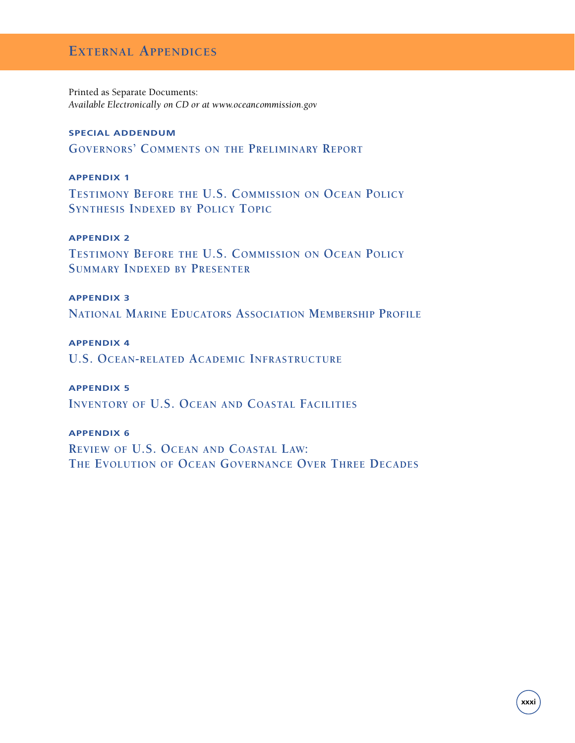### **EXTERNAL APPENDICES**

Printed as Separate Documents: *Available Electronically on CD or at www.oceancommission.gov*

#### **SPECIAL ADDENDUM**

**GOVERNORS' COMMENTS ON THE PRELIMINARY REPORT**

#### **APPENDIX 1**

**TESTIMONY BEFORE THE U.S. COMMISSION ON OCEAN POLICY SYNTHESIS INDEXED BY POLICY TOPIC**

#### **APPENDIX 2**

**TESTIMONY BEFORE THE U.S. COMMISSION ON OCEAN POLICY SUMMARY INDEXED BY PRESENTER**

#### **APPENDIX 3**

**NATIONAL MARINE EDUCATORS ASSOCIATION MEMBERSHIP PROFILE**

#### **APPENDIX 4**

**U.S. OCEAN-RELATED ACADEMIC INFRASTRUCTURE**

#### **APPENDIX 5**

**INVENTORY OF U.S. OCEAN AND COASTAL FACILITIES**

#### **APPENDIX 6**

**REVIEW OF U.S. OCEAN AND COASTAL LAW: THE EVOLUTION OF OCEAN GOVERNANCE OVER THREE DECADES**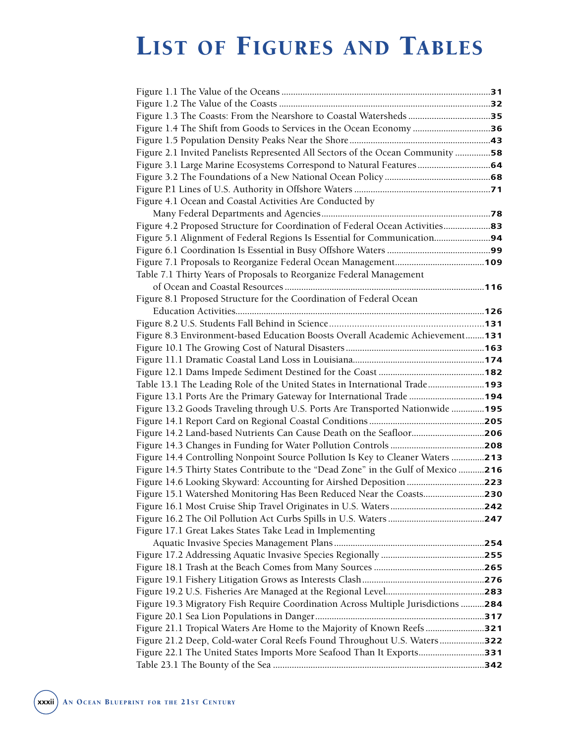# LIST OF FIGURES AND TABLES

| Figure 2.1 Invited Panelists Represented All Sectors of the Ocean Community 58    |  |
|-----------------------------------------------------------------------------------|--|
|                                                                                   |  |
|                                                                                   |  |
|                                                                                   |  |
| Figure 4.1 Ocean and Coastal Activities Are Conducted by                          |  |
|                                                                                   |  |
|                                                                                   |  |
|                                                                                   |  |
|                                                                                   |  |
|                                                                                   |  |
| Table 7.1 Thirty Years of Proposals to Reorganize Federal Management              |  |
|                                                                                   |  |
| Figure 8.1 Proposed Structure for the Coordination of Federal Ocean               |  |
|                                                                                   |  |
|                                                                                   |  |
| Figure 8.3 Environment-based Education Boosts Overall Academic Achievement131     |  |
|                                                                                   |  |
|                                                                                   |  |
|                                                                                   |  |
| Table 13.1 The Leading Role of the United States in International Trade193        |  |
| Figure 13.1 Ports Are the Primary Gateway for International Trade 194             |  |
| Figure 13.2 Goods Traveling through U.S. Ports Are Transported Nationwide 195     |  |
|                                                                                   |  |
| Figure 14.2 Land-based Nutrients Can Cause Death on the Seafloor206               |  |
|                                                                                   |  |
| Figure 14.4 Controlling Nonpoint Source Pollution Is Key to Cleaner Waters 213    |  |
| Figure 14.5 Thirty States Contribute to the "Dead Zone" in the Gulf of Mexico 216 |  |
| Figure 14.6 Looking Skyward: Accounting for Airshed Deposition 223                |  |
| Figure 15.1 Watershed Monitoring Has Been Reduced Near the Coasts230              |  |
|                                                                                   |  |
|                                                                                   |  |
| Figure 17.1 Great Lakes States Take Lead in Implementing                          |  |
|                                                                                   |  |
|                                                                                   |  |
|                                                                                   |  |
|                                                                                   |  |
|                                                                                   |  |
| Figure 19.3 Migratory Fish Require Coordination Across Multiple Jurisdictions 284 |  |
|                                                                                   |  |
| Figure 21.1 Tropical Waters Are Home to the Majority of Known Reefs321            |  |
| Figure 21.2 Deep, Cold-water Coral Reefs Found Throughout U.S. Waters322          |  |
| Figure 22.1 The United States Imports More Seafood Than It Exports331             |  |
|                                                                                   |  |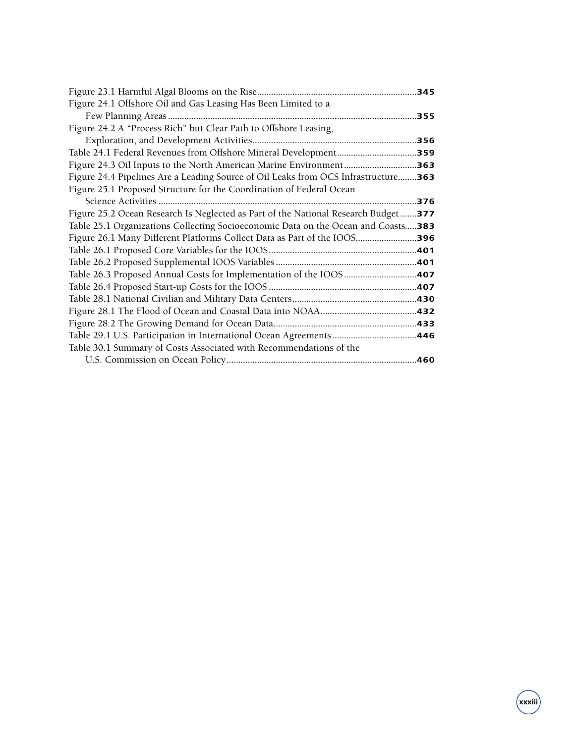| .345                                                                               |
|------------------------------------------------------------------------------------|
|                                                                                    |
|                                                                                    |
|                                                                                    |
|                                                                                    |
| Table 24.1 Federal Revenues from Offshore Mineral Development359                   |
| <b>Figure 24.3 Oil Inputs to the North American Marine Environment363</b>          |
| Figure 24.4 Pipelines Are a Leading Source of Oil Leaks from OCS Infrastructure363 |
|                                                                                    |
|                                                                                    |
| Figure 25.2 Ocean Research Is Neglected as Part of the National Research Budget377 |
| Table 25.1 Organizations Collecting Socioeconomic Data on the Ocean and Coasts383  |
| Figure 26.1 Many Different Platforms Collect Data as Part of the IOOS396           |
|                                                                                    |
|                                                                                    |
|                                                                                    |
|                                                                                    |
|                                                                                    |
|                                                                                    |
|                                                                                    |
|                                                                                    |
|                                                                                    |
|                                                                                    |
|                                                                                    |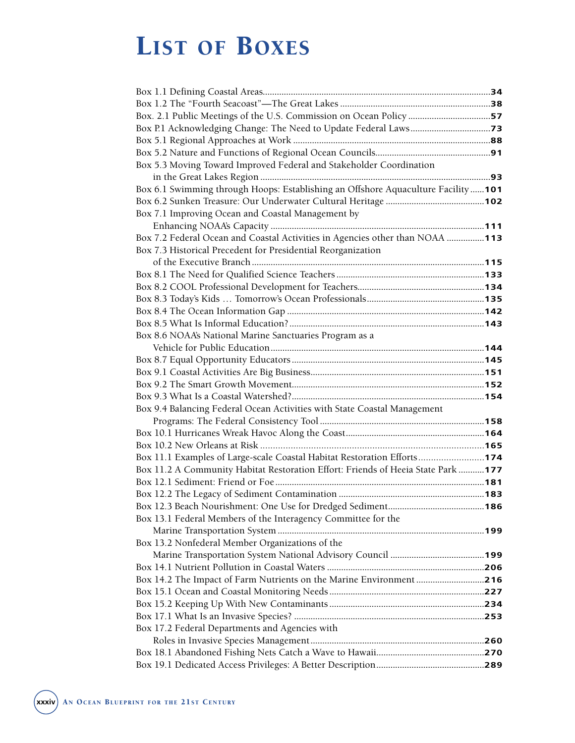# LIST OF BOXES

| Box 5.3 Moving Toward Improved Federal and Stakeholder Coordination               |  |
|-----------------------------------------------------------------------------------|--|
|                                                                                   |  |
| Box 6.1 Swimming through Hoops: Establishing an Offshore Aquaculture Facility 101 |  |
|                                                                                   |  |
| Box 7.1 Improving Ocean and Coastal Management by                                 |  |
|                                                                                   |  |
| Box 7.2 Federal Ocean and Coastal Activities in Agencies other than NOAA 113      |  |
| Box 7.3 Historical Precedent for Presidential Reorganization                      |  |
|                                                                                   |  |
|                                                                                   |  |
|                                                                                   |  |
|                                                                                   |  |
|                                                                                   |  |
|                                                                                   |  |
| Box 8.6 NOAA's National Marine Sanctuaries Program as a                           |  |
|                                                                                   |  |
|                                                                                   |  |
|                                                                                   |  |
|                                                                                   |  |
|                                                                                   |  |
| Box 9.4 Balancing Federal Ocean Activities with State Coastal Management          |  |
|                                                                                   |  |
|                                                                                   |  |
|                                                                                   |  |
| Box 11.1 Examples of Large-scale Coastal Habitat Restoration Efforts174           |  |
| Box 11.2 A Community Habitat Restoration Effort: Friends of Heeia State Park 177  |  |
|                                                                                   |  |
|                                                                                   |  |
|                                                                                   |  |
| Box 13.1 Federal Members of the Interagency Committee for the                     |  |
|                                                                                   |  |
| Box 13.2 Nonfederal Member Organizations of the                                   |  |
|                                                                                   |  |
|                                                                                   |  |
| Box 14.2 The Impact of Farm Nutrients on the Marine Environment 216               |  |
|                                                                                   |  |
|                                                                                   |  |
|                                                                                   |  |
| Box 17.2 Federal Departments and Agencies with                                    |  |
|                                                                                   |  |
|                                                                                   |  |
|                                                                                   |  |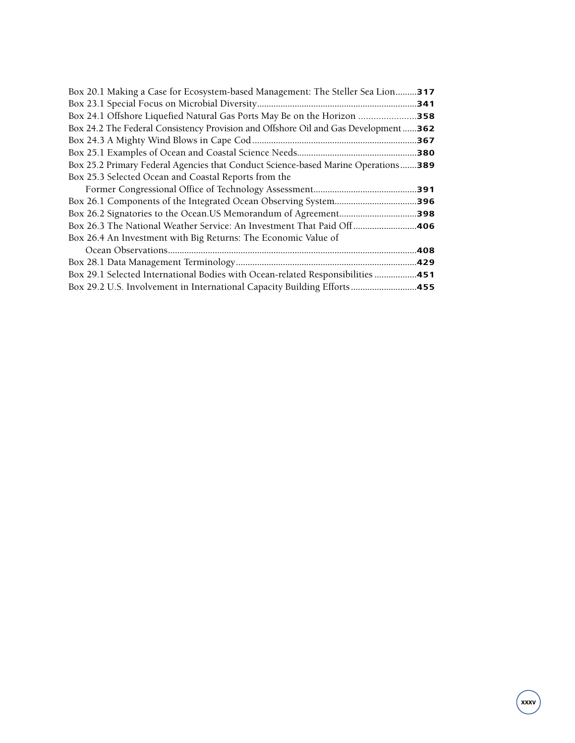| Box 20.1 Making a Case for Ecosystem-based Management: The Steller Sea Lion317     |      |
|------------------------------------------------------------------------------------|------|
|                                                                                    | .341 |
|                                                                                    |      |
| Box 24.2 The Federal Consistency Provision and Offshore Oil and Gas Development362 |      |
|                                                                                    | .367 |
|                                                                                    |      |
| Box 25.2 Primary Federal Agencies that Conduct Science-based Marine Operations389  |      |
| Box 25.3 Selected Ocean and Coastal Reports from the                               |      |
|                                                                                    | 391. |
|                                                                                    |      |
|                                                                                    |      |
|                                                                                    |      |
| Box 26.4 An Investment with Big Returns: The Economic Value of                     |      |
|                                                                                    | .408 |
|                                                                                    | .429 |
| Box 29.1 Selected International Bodies with Ocean-related Responsibilities         | .451 |
| Box 29.2 U.S. Involvement in International Capacity Building Efforts               | .455 |
|                                                                                    |      |